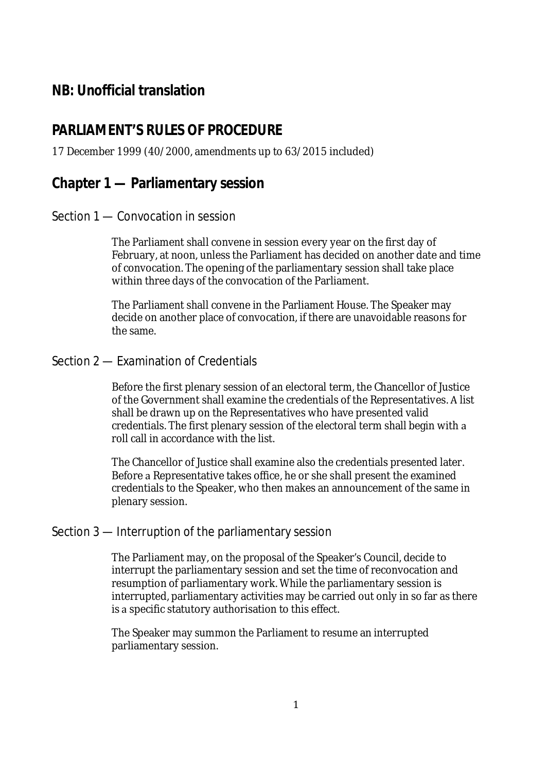# **NB: Unofficial translation**

# **PARLIAMENT'S RULES OF PROCEDURE**

#### 17 December 1999 (40/2000, amendments up to 63/2015 included)

# **Chapter 1 — Parliamentary session**

#### Section 1 — Convocation in session

The Parliament shall convene in session every year on the first day of February, at noon, unless the Parliament has decided on another date and time of convocation. The opening of the parliamentary session shall take place within three days of the convocation of the Parliament.

The Parliament shall convene in the Parliament House. The Speaker may decide on another place of convocation, if there are unavoidable reasons for the same.

#### Section 2 — Examination of Credentials

Before the first plenary session of an electoral term, the Chancellor of Justice of the Government shall examine the credentials of the Representatives. A list shall be drawn up on the Representatives who have presented valid credentials. The first plenary session of the electoral term shall begin with a roll call in accordance with the list.

The Chancellor of Justice shall examine also the credentials presented later. Before a Representative takes office, he or she shall present the examined credentials to the Speaker, who then makes an announcement of the same in plenary session.

#### Section 3 — Interruption of the parliamentary session

The Parliament may, on the proposal of the Speaker's Council, decide to interrupt the parliamentary session and set the time of reconvocation and resumption of parliamentary work. While the parliamentary session is interrupted, parliamentary activities may be carried out only in so far as there is a specific statutory authorisation to this effect.

The Speaker may summon the Parliament to resume an interrupted parliamentary session.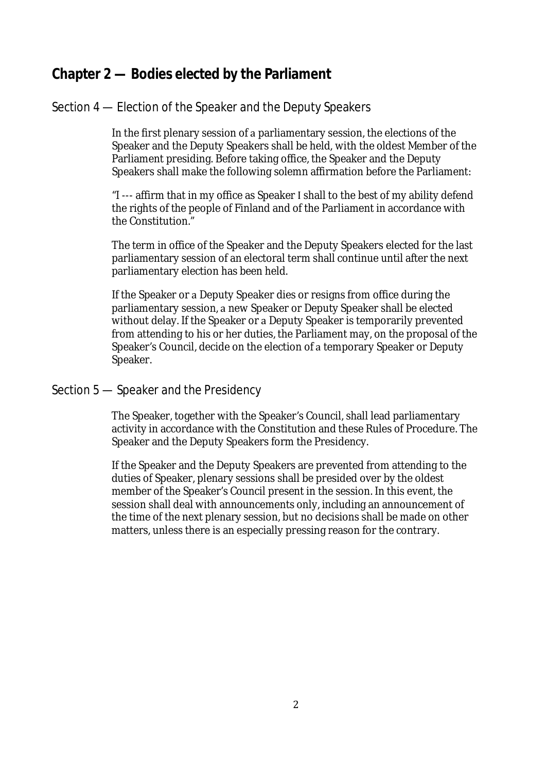# **Chapter 2 — Bodies elected by the Parliament**

# Section 4 — Election of the Speaker and the Deputy Speakers

In the first plenary session of a parliamentary session, the elections of the Speaker and the Deputy Speakers shall be held, with the oldest Member of the Parliament presiding. Before taking office, the Speaker and the Deputy Speakers shall make the following solemn affirmation before the Parliament:

"I --- affirm that in my office as Speaker I shall to the best of my ability defend the rights of the people of Finland and of the Parliament in accordance with the Constitution."

The term in office of the Speaker and the Deputy Speakers elected for the last parliamentary session of an electoral term shall continue until after the next parliamentary election has been held.

If the Speaker or a Deputy Speaker dies or resigns from office during the parliamentary session, a new Speaker or Deputy Speaker shall be elected without delay. If the Speaker or a Deputy Speaker is temporarily prevented from attending to his or her duties, the Parliament may, on the proposal of the Speaker's Council, decide on the election of a temporary Speaker or Deputy Speaker.

# Section 5 — Speaker and the Presidency

The Speaker, together with the Speaker's Council, shall lead parliamentary activity in accordance with the Constitution and these Rules of Procedure. The Speaker and the Deputy Speakers form the Presidency.

If the Speaker and the Deputy Speakers are prevented from attending to the duties of Speaker, plenary sessions shall be presided over by the oldest member of the Speaker's Council present in the session. In this event, the session shall deal with announcements only, including an announcement of the time of the next plenary session, but no decisions shall be made on other matters, unless there is an especially pressing reason for the contrary.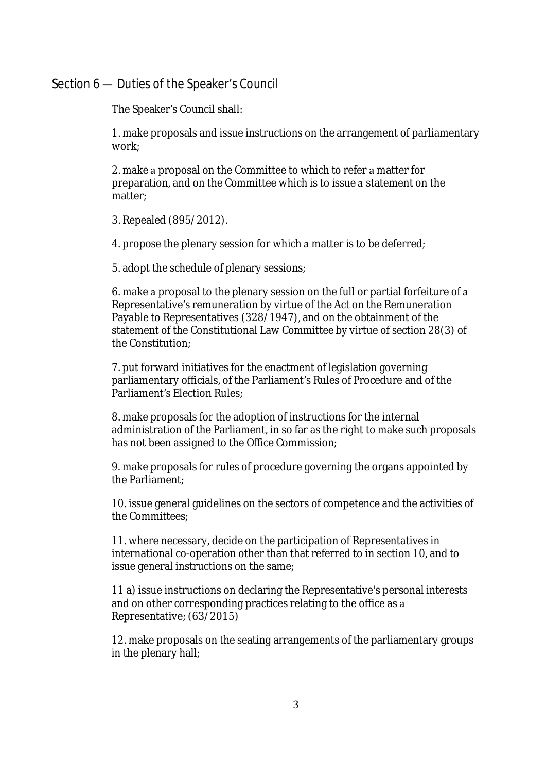#### Section 6 — Duties of the Speaker's Council

The Speaker's Council shall:

1. make proposals and issue instructions on the arrangement of parliamentary work;

2. make a proposal on the Committee to which to refer a matter for preparation, and on the Committee which is to issue a statement on the matter;

3. Repealed (895/2012).

4. propose the plenary session for which a matter is to be deferred;

5. adopt the schedule of plenary sessions;

6. make a proposal to the plenary session on the full or partial forfeiture of a Representative's remuneration by virtue of the Act on the Remuneration Payable to Representatives (328/1947), and on the obtainment of the statement of the Constitutional Law Committee by virtue of section 28(3) of the Constitution;

7. put forward initiatives for the enactment of legislation governing parliamentary officials, of the Parliament's Rules of Procedure and of the Parliament's Election Rules;

8. make proposals for the adoption of instructions for the internal administration of the Parliament, in so far as the right to make such proposals has not been assigned to the Office Commission;

9. make proposals for rules of procedure governing the organs appointed by the Parliament;

10. issue general guidelines on the sectors of competence and the activities of the Committees;

11. where necessary, decide on the participation of Representatives in international co-operation other than that referred to in section 10, and to issue general instructions on the same;

11 a) issue instructions on declaring the Representative's personal interests and on other corresponding practices relating to the office as a Representative; (63/2015)

12. make proposals on the seating arrangements of the parliamentary groups in the plenary hall;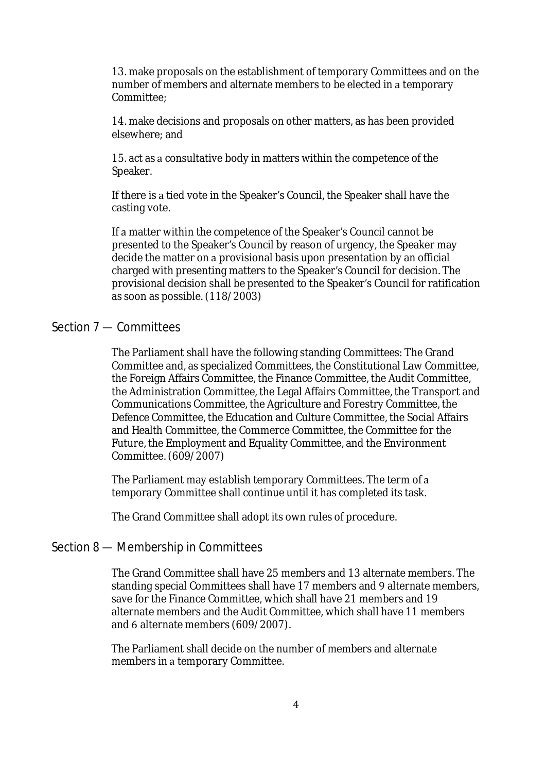13. make proposals on the establishment of temporary Committees and on the number of members and alternate members to be elected in a temporary Committee<sup>.</sup>

14. make decisions and proposals on other matters, as has been provided elsewhere; and

15. act as a consultative body in matters within the competence of the Speaker.

If there is a tied vote in the Speaker's Council, the Speaker shall have the casting vote.

If a matter within the competence of the Speaker's Council cannot be presented to the Speaker's Council by reason of urgency, the Speaker may decide the matter on a provisional basis upon presentation by an official charged with presenting matters to the Speaker's Council for decision. The provisional decision shall be presented to the Speaker's Council for ratification as soon as possible. (118/2003)

# Section 7 — Committees

The Parliament shall have the following standing Committees: The Grand Committee and, as specialized Committees, the Constitutional Law Committee, the Foreign Affairs Committee, the Finance Committee, the Audit Committee, the Administration Committee, the Legal Affairs Committee, the Transport and Communications Committee, the Agriculture and Forestry Committee, the Defence Committee, the Education and Culture Committee, the Social Affairs and Health Committee, the Commerce Committee, the Committee for the Future, the Employment and Equality Committee, and the Environment Committee. (609/2007)

The Parliament may establish temporary Committees. The term of a temporary Committee shall continue until it has completed its task.

The Grand Committee shall adopt its own rules of procedure.

#### Section 8 — Membership in Committees

The Grand Committee shall have 25 members and 13 alternate members. The standing special Committees shall have 17 members and 9 alternate members, save for the Finance Committee, which shall have 21 members and 19 alternate members and the Audit Committee, which shall have 11 members and 6 alternate members (609/2007).

The Parliament shall decide on the number of members and alternate members in a temporary Committee.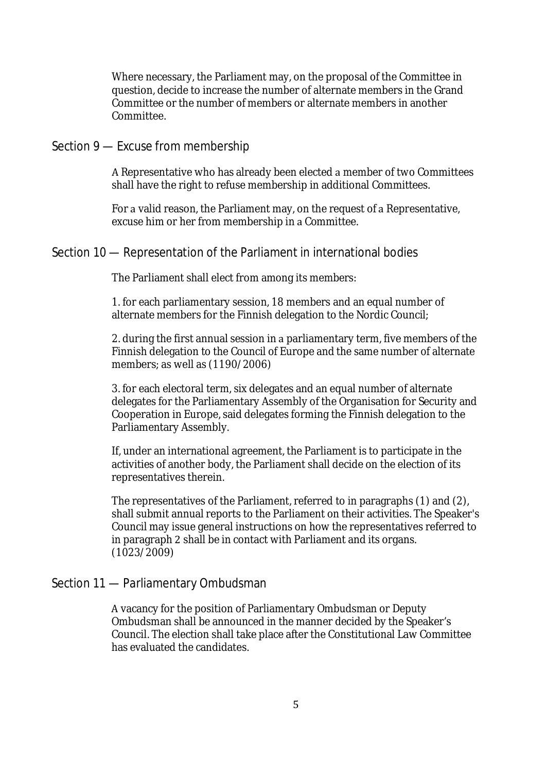Where necessary, the Parliament may, on the proposal of the Committee in question, decide to increase the number of alternate members in the Grand Committee or the number of members or alternate members in another Committee.

#### Section 9 — Excuse from membership

A Representative who has already been elected a member of two Committees shall have the right to refuse membership in additional Committees.

For a valid reason, the Parliament may, on the request of a Representative, excuse him or her from membership in a Committee.

#### Section 10 — Representation of the Parliament in international bodies

The Parliament shall elect from among its members:

1. for each parliamentary session, 18 members and an equal number of alternate members for the Finnish delegation to the Nordic Council; 

2. during the first annual session in a parliamentary term, five members of the Finnish delegation to the Council of Europe and the same number of alternate members; as well as (1190/2006)

3. for each electoral term, six delegates and an equal number of alternate delegates for the Parliamentary Assembly of the Organisation for Security and Cooperation in Europe, said delegates forming the Finnish delegation to the Parliamentary Assembly.

If, under an international agreement, the Parliament is to participate in the activities of another body, the Parliament shall decide on the election of its representatives therein.

The representatives of the Parliament, referred to in paragraphs (1) and (2), shall submit annual reports to the Parliament on their activities. The Speaker's Council may issue general instructions on how the representatives referred to in paragraph 2 shall be in contact with Parliament and its organs. (1023/2009)

#### Section 11 — Parliamentary Ombudsman

A vacancy for the position of Parliamentary Ombudsman or Deputy Ombudsman shall be announced in the manner decided by the Speaker's Council. The election shall take place after the Constitutional Law Committee has evaluated the candidates.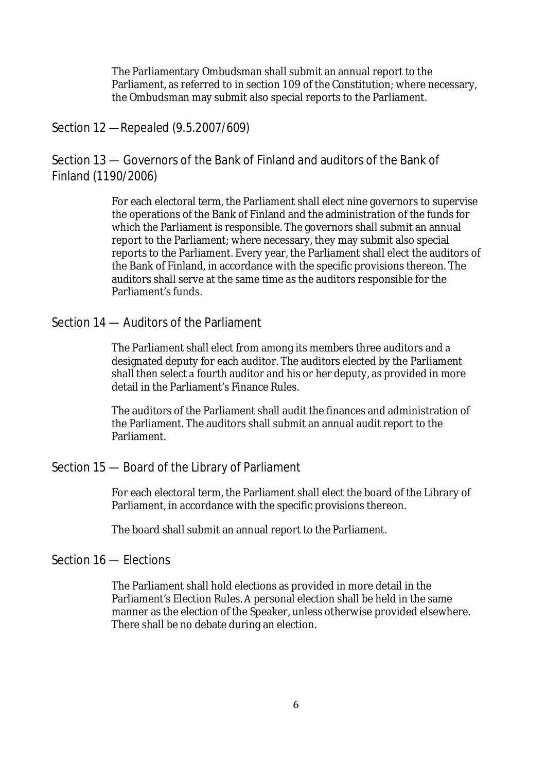The Parliamentary Ombudsman shall submit an annual report to the Parliament, as referred to in section 109 of the Constitution; where necessary, the Ombudsman may submit also special reports to the Parliament.

# Section 12 —Repealed (9.5.2007/609)

Section 13 — Governors of the Bank of Finland and auditors of the Bank of Finland (1190/2006)

> For each electoral term, the Parliament shall elect nine governors to supervise the operations of the Bank of Finland and the administration of the funds for which the Parliament is responsible. The governors shall submit an annual report to the Parliament; where necessary, they may submit also special reports to the Parliament. Every year, the Parliament shall elect the auditors of the Bank of Finland, in accordance with the specific provisions thereon. The auditors shall serve at the same time as the auditors responsible for the Parliament's funds.

# Section 14 — Auditors of the Parliament

The Parliament shall elect from among its members three auditors and a designated deputy for each auditor. The auditors elected by the Parliament shall then select a fourth auditor and his or her deputy, as provided in more detail in the Parliament's Finance Rules.

The auditors of the Parliament shall audit the finances and administration of the Parliament. The auditors shall submit an annual audit report to the Parliament.

# Section 15 — Board of the Library of Parliament

For each electoral term, the Parliament shall elect the board of the Library of Parliament, in accordance with the specific provisions thereon.

The board shall submit an annual report to the Parliament.

# Section 16 — Elections

The Parliament shall hold elections as provided in more detail in the Parliament's Election Rules. A personal election shall be held in the same manner as the election of the Speaker, unless otherwise provided elsewhere. There shall be no debate during an election.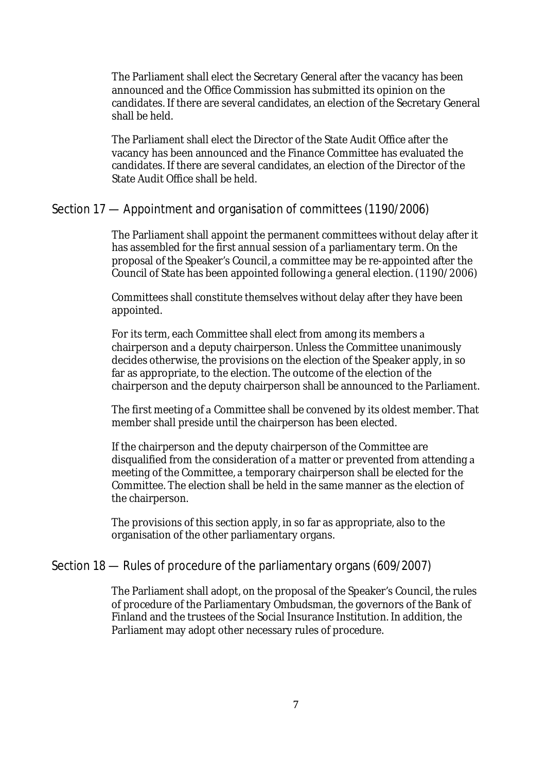The Parliament shall elect the Secretary General after the vacancy has been announced and the Office Commission has submitted its opinion on the candidates. If there are several candidates, an election of the Secretary General shall be held. 

The Parliament shall elect the Director of the State Audit Office after the vacancy has been announced and the Finance Committee has evaluated the candidates. If there are several candidates, an election of the Director of the State Audit Office shall be held.

# Section 17 — Appointment and organisation of committees (1190/2006)

The Parliament shall appoint the permanent committees without delay after it has assembled for the first annual session of a parliamentary term. On the proposal of the Speaker's Council, a committee may be re-appointed after the Council of State has been appointed following a general election. (1190/2006)

Committees shall constitute themselves without delay after they have been appointed.

For its term, each Committee shall elect from among its members a chairperson and a deputy chairperson. Unless the Committee unanimously decides otherwise, the provisions on the election of the Speaker apply, in so far as appropriate, to the election. The outcome of the election of the chairperson and the deputy chairperson shall be announced to the Parliament.

The first meeting of a Committee shall be convened by its oldest member. That member shall preside until the chairperson has been elected.

If the chairperson and the deputy chairperson of the Committee are disqualified from the consideration of a matter or prevented from attending a meeting of the Committee, a temporary chairperson shall be elected for the Committee. The election shall be held in the same manner as the election of the chairperson. 

The provisions of this section apply, in so far as appropriate, also to the organisation of the other parliamentary organs. 

# Section 18 — Rules of procedure of the parliamentary organs (609/2007)

The Parliament shall adopt, on the proposal of the Speaker's Council, the rules of procedure of the Parliamentary Ombudsman, the governors of the Bank of Finland and the trustees of the Social Insurance Institution. In addition, the Parliament may adopt other necessary rules of procedure.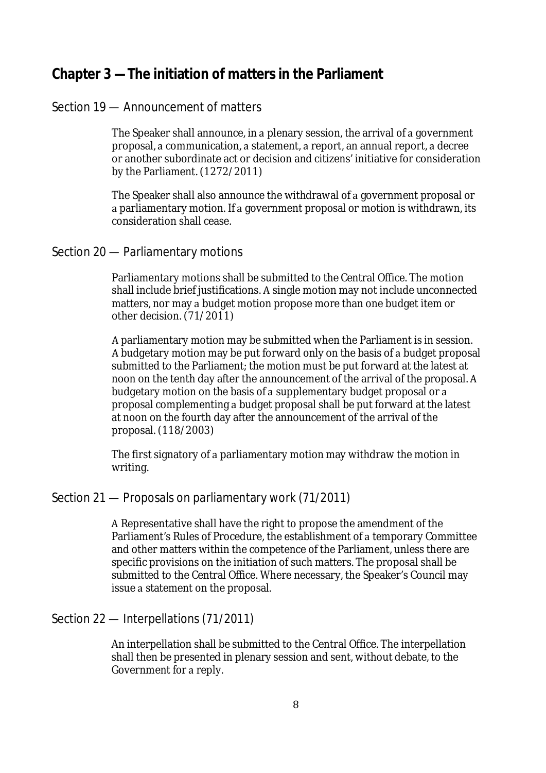# **Chapter 3 —The initiation of matters in the Parliament**

# Section 19 — Announcement of matters

The Speaker shall announce, in a plenary session, the arrival of a government proposal, a communication, a statement, a report, an annual report, a decree or another subordinate act or decision and citizens' initiative for consideration by the Parliament. (1272/2011)

The Speaker shall also announce the withdrawal of a government proposal or a parliamentary motion. If a government proposal or motion is withdrawn, its consideration shall cease.

#### Section 20 — Parliamentary motions

Parliamentary motions shall be submitted to the Central Office. The motion shall include brief justifications. A single motion may not include unconnected matters, nor may a budget motion propose more than one budget item or other decision. (71/2011)

A parliamentary motion may be submitted when the Parliament is in session. A budgetary motion may be put forward only on the basis of a budget proposal submitted to the Parliament; the motion must be put forward at the latest at noon on the tenth day after the announcement of the arrival of the proposal. A budgetary motion on the basis of a supplementary budget proposal or a proposal complementing a budget proposal shall be put forward at the latest at noon on the fourth day after the announcement of the arrival of the proposal. (118/2003)

The first signatory of a parliamentary motion may withdraw the motion in writing.

# Section 21 — Proposals on parliamentary work (71/2011)

A Representative shall have the right to propose the amendment of the Parliament's Rules of Procedure, the establishment of a temporary Committee and other matters within the competence of the Parliament, unless there are specific provisions on the initiation of such matters. The proposal shall be submitted to the Central Office. Where necessary, the Speaker's Council may issue a statement on the proposal.

#### Section 22 — Interpellations (71/2011)

An interpellation shall be submitted to the Central Office. The interpellation shall then be presented in plenary session and sent, without debate, to the Government for a reply.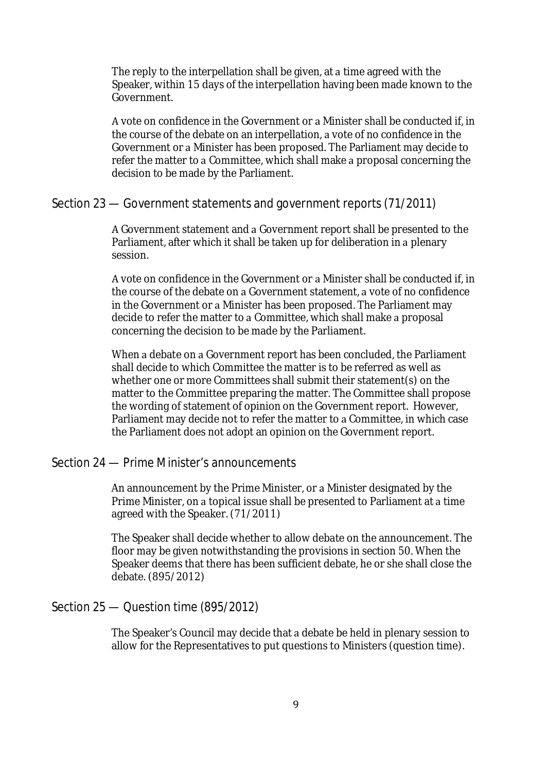The reply to the interpellation shall be given, at a time agreed with the Speaker, within 15 days of the interpellation having been made known to the Government.

A vote on confidence in the Government or a Minister shall be conducted if, in the course of the debate on an interpellation, a vote of no confidence in the Government or a Minister has been proposed. The Parliament may decide to refer the matter to a Committee, which shall make a proposal concerning the decision to be made by the Parliament. 

#### Section 23 — Government statements and government reports (71/2011)

A Government statement and a Government report shall be presented to the Parliament, after which it shall be taken up for deliberation in a plenary session.

A vote on confidence in the Government or a Minister shall be conducted if, in the course of the debate on a Government statement, a vote of no confidence in the Government or a Minister has been proposed. The Parliament may decide to refer the matter to a Committee, which shall make a proposal concerning the decision to be made by the Parliament. 

When a debate on a Government report has been concluded, the Parliament shall decide to which Committee the matter is to be referred as well as whether one or more Committees shall submit their statement(s) on the matter to the Committee preparing the matter. The Committee shall propose the wording of statement of opinion on the Government report. However, Parliament may decide not to refer the matter to a Committee, in which case the Parliament does not adopt an opinion on the Government report. 

# Section 24 — Prime Minister's announcements

An announcement by the Prime Minister, or a Minister designated by the Prime Minister, on a topical issue shall be presented to Parliament at a time agreed with the Speaker. (71/2011)

The Speaker shall decide whether to allow debate on the announcement. The floor may be given notwithstanding the provisions in section 50. When the Speaker deems that there has been sufficient debate, he or she shall close the debate. (895/2012)

#### Section 25 — Question time (895/2012)

The Speaker's Council may decide that a debate be held in plenary session to allow for the Representatives to put questions to Ministers (question time).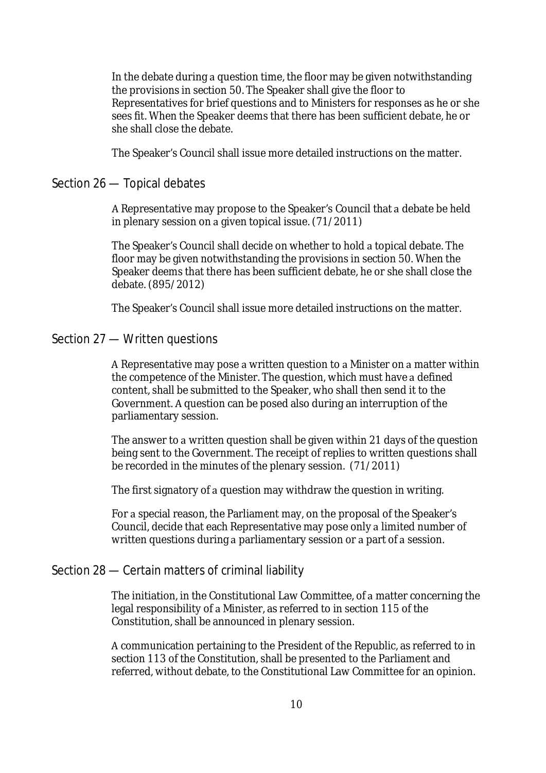In the debate during a question time, the floor may be given notwithstanding the provisions in section 50. The Speaker shall give the floor to Representatives for brief questions and to Ministers for responses as he or she sees fit. When the Speaker deems that there has been sufficient debate, he or she shall close the debate.

The Speaker's Council shall issue more detailed instructions on the matter.

#### Section 26 — Topical debates

A Representative may propose to the Speaker's Council that a debate be held in plenary session on a given topical issue. (71/2011)

The Speaker's Council shall decide on whether to hold a topical debate. The floor may be given notwithstanding the provisions in section 50. When the Speaker deems that there has been sufficient debate, he or she shall close the debate. (895/2012)

The Speaker's Council shall issue more detailed instructions on the matter.

#### Section 27 — Written questions

A Representative may pose a written question to a Minister on a matter within the competence of the Minister. The question, which must have a defined content, shall be submitted to the Speaker, who shall then send it to the Government. A question can be posed also during an interruption of the parliamentary session.

The answer to a written question shall be given within 21 days of the question being sent to the Government. The receipt of replies to written questions shall be recorded in the minutes of the plenary session. (71/2011)

The first signatory of a question may withdraw the question in writing.

For a special reason, the Parliament may, on the proposal of the Speaker's Council, decide that each Representative may pose only a limited number of written questions during a parliamentary session or a part of a session.

# Section 28 — Certain matters of criminal liability

The initiation, in the Constitutional Law Committee, of a matter concerning the legal responsibility of a Minister, as referred to in section 115 of the Constitution, shall be announced in plenary session.

A communication pertaining to the President of the Republic, as referred to in section 113 of the Constitution, shall be presented to the Parliament and referred, without debate, to the Constitutional Law Committee for an opinion.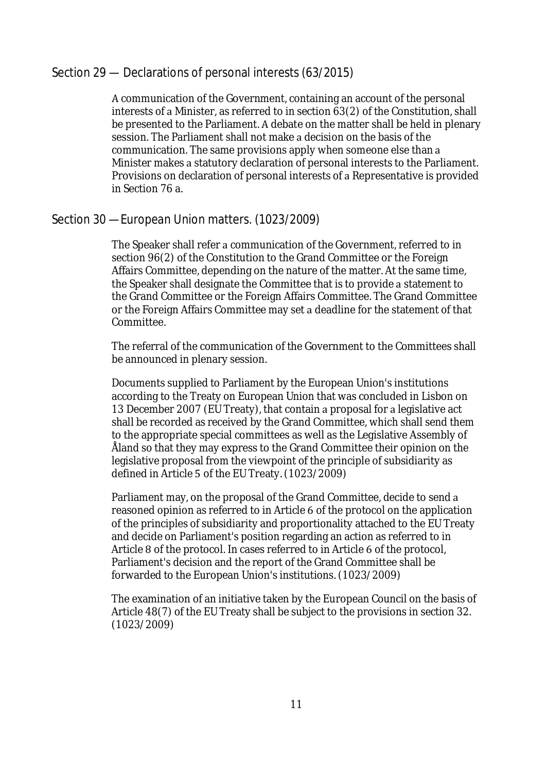# Section 29 — Declarations of personal interests (63/2015)

A communication of the Government, containing an account of the personal interests of a Minister, as referred to in section 63(2) of the Constitution, shall be presented to the Parliament. A debate on the matter shall be held in plenary session. The Parliament shall not make a decision on the basis of the communication. The same provisions apply when someone else than a Minister makes a statutory declaration of personal interests to the Parliament. Provisions on declaration of personal interests of a Representative is provided in Section 76 a.

# Section 30 —European Union matters. (1023/2009)

The Speaker shall refer a communication of the Government, referred to in section 96(2) of the Constitution to the Grand Committee or the Foreign Affairs Committee, depending on the nature of the matter. At the same time, the Speaker shall designate the Committee that is to provide a statement to the Grand Committee or the Foreign Affairs Committee. The Grand Committee or the Foreign Affairs Committee may set a deadline for the statement of that Committee.

The referral of the communication of the Government to the Committees shall be announced in plenary session.

Documents supplied to Parliament by the European Union's institutions according to the Treaty on European Union that was concluded in Lisbon on 13 December 2007 (EU Treaty), that contain a proposal for a legislative act shall be recorded as received by the Grand Committee, which shall send them to the appropriate special committees as well as the Legislative Assembly of Åland so that they may express to the Grand Committee their opinion on the legislative proposal from the viewpoint of the principle of subsidiarity as defined in Article 5 of the EU Treaty. (1023/2009)

Parliament may, on the proposal of the Grand Committee, decide to send a reasoned opinion as referred to in Article 6 of the protocol on the application of the principles of subsidiarity and proportionality attached to the EU Treaty and decide on Parliament's position regarding an action as referred to in Article 8 of the protocol. In cases referred to in Article 6 of the protocol. Parliament's decision and the report of the Grand Committee shall be forwarded to the European Union's institutions. (1023/2009)

The examination of an initiative taken by the European Council on the basis of Article 48(7) of the EU Treaty shall be subject to the provisions in section 32. (1023/2009)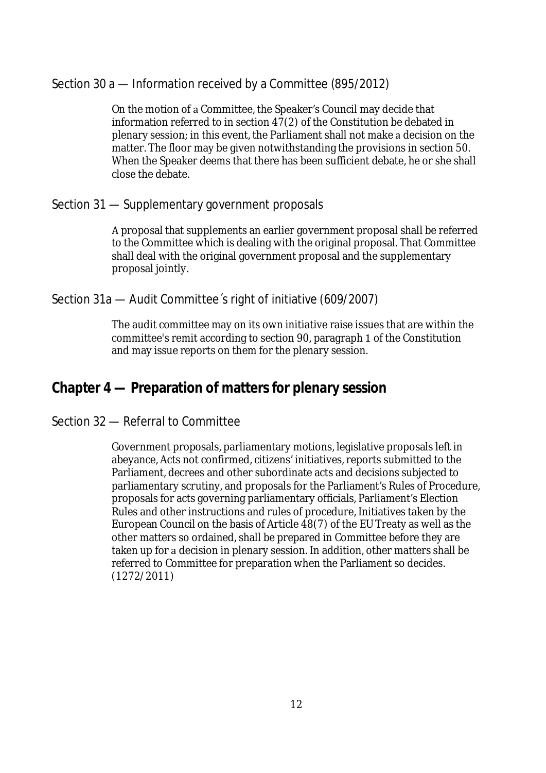# Section 30 a — Information received by a Committee (895/2012)

On the motion of a Committee, the Speaker's Council may decide that information referred to in section 47(2) of the Constitution be debated in plenary session; in this event, the Parliament shall not make a decision on the matter. The floor may be given notwithstanding the provisions in section 50. When the Speaker deems that there has been sufficient debate, he or she shall close the debate. 

# Section 31 — Supplementary government proposals

A proposal that supplements an earlier government proposal shall be referred to the Committee which is dealing with the original proposal. That Committee shall deal with the original government proposal and the supplementary proposal jointly.

# Section 31a — Audit Committee´s right of initiative (609/2007)

The audit committee may on its own initiative raise issues that are within the committee's remit according to section 90, paragraph 1 of the Constitution and may issue reports on them for the plenary session.

# **Chapter 4 — Preparation of matters for plenary session**

# Section 32 — Referral to Committee

Government proposals, parliamentary motions, legislative proposals left in abeyance, Acts not confirmed, citizens' initiatives, reports submitted to the Parliament, decrees and other subordinate acts and decisions subjected to parliamentary scrutiny, and proposals for the Parliament's Rules of Procedure, proposals for acts governing parliamentary officials, Parliament's Election Rules and other instructions and rules of procedure, Initiatives taken by the European Council on the basis of Article 48(7) of the EU Treaty as well as the other matters so ordained, shall be prepared in Committee before they are taken up for a decision in plenary session. In addition, other matters shall be referred to Committee for preparation when the Parliament so decides. (1272/2011)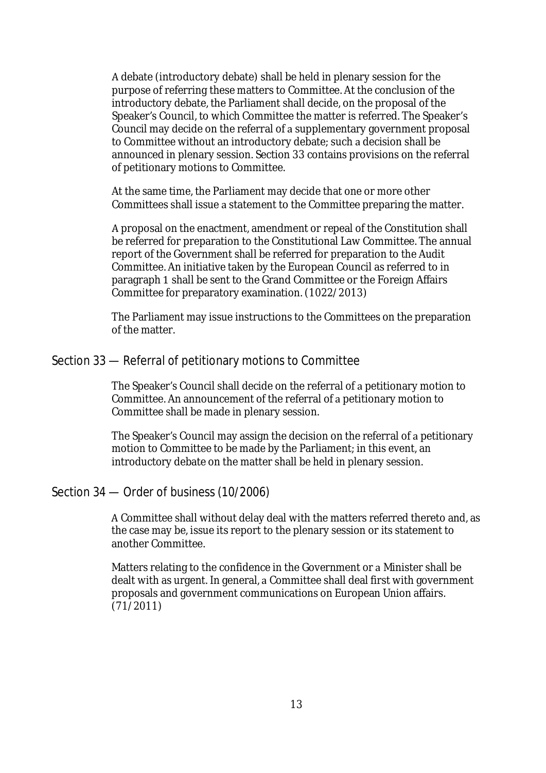A debate (introductory debate) shall be held in plenary session for the purpose of referring these matters to Committee. At the conclusion of the introductory debate, the Parliament shall decide, on the proposal of the Speaker's Council, to which Committee the matter is referred. The Speaker's Council may decide on the referral of a supplementary government proposal to Committee without an introductory debate; such a decision shall be announced in plenary session. Section 33 contains provisions on the referral of petitionary motions to Committee.

At the same time, the Parliament may decide that one or more other Committees shall issue a statement to the Committee preparing the matter.

A proposal on the enactment, amendment or repeal of the Constitution shall be referred for preparation to the Constitutional Law Committee. The annual report of the Government shall be referred for preparation to the Audit Committee. An initiative taken by the European Council as referred to in paragraph 1 shall be sent to the Grand Committee or the Foreign Affairs Committee for preparatory examination. (1022/2013)

The Parliament may issue instructions to the Committees on the preparation of the matter.

#### Section 33 — Referral of petitionary motions to Committee

The Speaker's Council shall decide on the referral of a petitionary motion to Committee. An announcement of the referral of a petitionary motion to Committee shall be made in plenary session.

The Speaker's Council may assign the decision on the referral of a petitionary motion to Committee to be made by the Parliament; in this event, an introductory debate on the matter shall be held in plenary session.

#### Section 34 — Order of business (10/2006)

A Committee shall without delay deal with the matters referred thereto and, as the case may be, issue its report to the plenary session or its statement to another Committee.

Matters relating to the confidence in the Government or a Minister shall be dealt with as urgent. In general, a Committee shall deal first with government proposals and government communications on European Union affairs. (71/2011)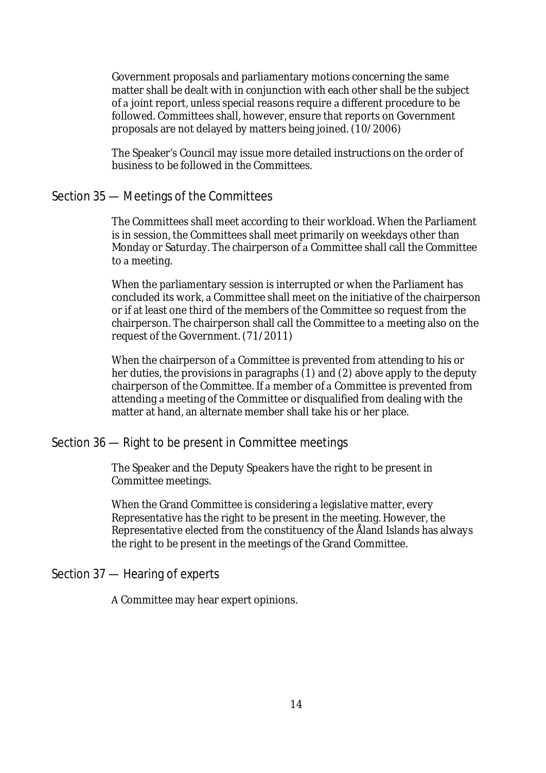Government proposals and parliamentary motions concerning the same matter shall be dealt with in conjunction with each other shall be the subject of a joint report, unless special reasons require a different procedure to be followed. Committees shall, however, ensure that reports on Government proposals are not delayed by matters being joined. (10/2006)

The Speaker's Council may issue more detailed instructions on the order of business to be followed in the Committees.

# Section 35 — Meetings of the Committees

The Committees shall meet according to their workload. When the Parliament is in session, the Committees shall meet primarily on weekdays other than Monday or Saturday. The chairperson of a Committee shall call the Committee to a meeting.

When the parliamentary session is interrupted or when the Parliament has concluded its work, a Committee shall meet on the initiative of the chairperson or if at least one third of the members of the Committee so request from the chairperson. The chairperson shall call the Committee to a meeting also on the request of the Government. (71/2011)

When the chairperson of a Committee is prevented from attending to his or her duties, the provisions in paragraphs (1) and (2) above apply to the deputy chairperson of the Committee. If a member of a Committee is prevented from attending a meeting of the Committee or disqualified from dealing with the matter at hand, an alternate member shall take his or her place.

# Section 36 — Right to be present in Committee meetings

The Speaker and the Deputy Speakers have the right to be present in Committee meetings.

When the Grand Committee is considering a legislative matter, every Representative has the right to be present in the meeting. However, the Representative elected from the constituency of the Åland Islands has always the right to be present in the meetings of the Grand Committee.

Section 37 — Hearing of experts

A Committee may hear expert opinions.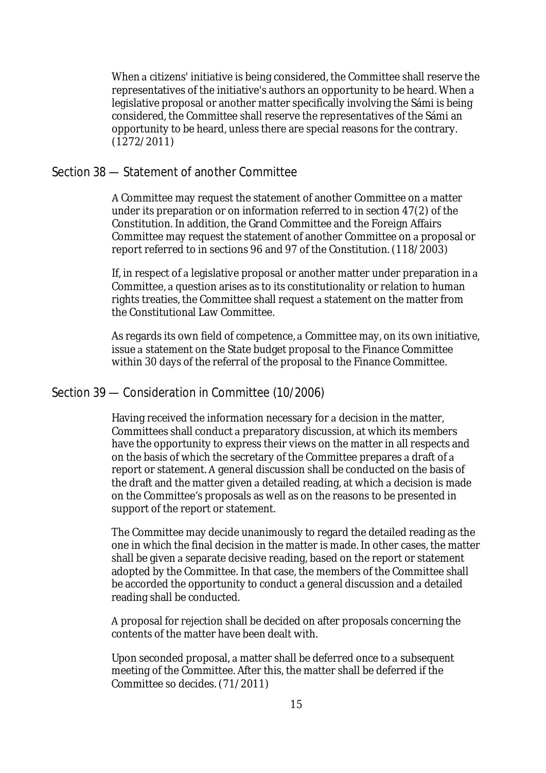When a citizens' initiative is being considered, the Committee shall reserve the representatives of the initiative's authors an opportunity to be heard. When a legislative proposal or another matter specifically involving the Sámi is being considered, the Committee shall reserve the representatives of the Sámi an opportunity to be heard, unless there are special reasons for the contrary. (1272/2011)

#### Section 38 — Statement of another Committee

A Committee may request the statement of another Committee on a matter under its preparation or on information referred to in section 47(2) of the Constitution. In addition, the Grand Committee and the Foreign Affairs Committee may request the statement of another Committee on a proposal or report referred to in sections 96 and 97 of the Constitution. (118/2003)

If, in respect of a legislative proposal or another matter under preparation in a Committee, a question arises as to its constitutionality or relation to human rights treaties, the Committee shall request a statement on the matter from the Constitutional Law Committee.

As regards its own field of competence, a Committee may, on its own initiative, issue a statement on the State budget proposal to the Finance Committee within 30 days of the referral of the proposal to the Finance Committee.

#### Section 39 — Consideration in Committee (10/2006)

Having received the information necessary for a decision in the matter, Committees shall conduct a preparatory discussion, at which its members have the opportunity to express their views on the matter in all respects and on the basis of which the secretary of the Committee prepares a draft of a report or statement. A general discussion shall be conducted on the basis of the draft and the matter given a detailed reading, at which a decision is made on the Committee's proposals as well as on the reasons to be presented in support of the report or statement.

The Committee may decide unanimously to regard the detailed reading as the one in which the final decision in the matter is made. In other cases, the matter shall be given a separate decisive reading, based on the report or statement adopted by the Committee. In that case, the members of the Committee shall be accorded the opportunity to conduct a general discussion and a detailed reading shall be conducted.

A proposal for rejection shall be decided on after proposals concerning the contents of the matter have been dealt with.

Upon seconded proposal, a matter shall be deferred once to a subsequent meeting of the Committee. After this, the matter shall be deferred if the Committee so decides. (71/2011)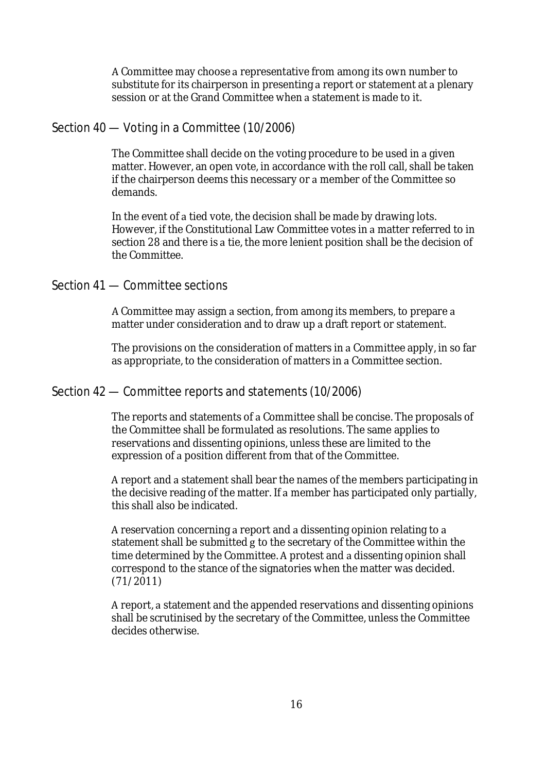A Committee may choose a representative from among its own number to substitute for its chairperson in presenting a report or statement at a plenary session or at the Grand Committee when a statement is made to it.

# Section 40 — Voting in a Committee (10/2006)

The Committee shall decide on the voting procedure to be used in a given matter. However, an open vote, in accordance with the roll call, shall be taken if the chairperson deems this necessary or a member of the Committee so demands. 

In the event of a tied vote, the decision shall be made by drawing lots. However, if the Constitutional Law Committee votes in a matter referred to in section 28 and there is a tie, the more lenient position shall be the decision of the Committee.

# Section 41 — Committee sections

A Committee may assign a section, from among its members, to prepare a matter under consideration and to draw up a draft report or statement.

The provisions on the consideration of matters in a Committee apply, in so far as appropriate, to the consideration of matters in a Committee section.

#### Section 42 — Committee reports and statements (10/2006)

The reports and statements of a Committee shall be concise. The proposals of the Committee shall be formulated as resolutions. The same applies to reservations and dissenting opinions, unless these are limited to the expression of a position different from that of the Committee.

A report and a statement shall bear the names of the members participating in the decisive reading of the matter. If a member has participated only partially, this shall also be indicated.

A reservation concerning a report and a dissenting opinion relating to a statement shall be submitted g to the secretary of the Committee within the time determined by the Committee. A protest and a dissenting opinion shall correspond to the stance of the signatories when the matter was decided. (71/2011)

A report, a statement and the appended reservations and dissenting opinions shall be scrutinised by the secretary of the Committee, unless the Committee decides otherwise.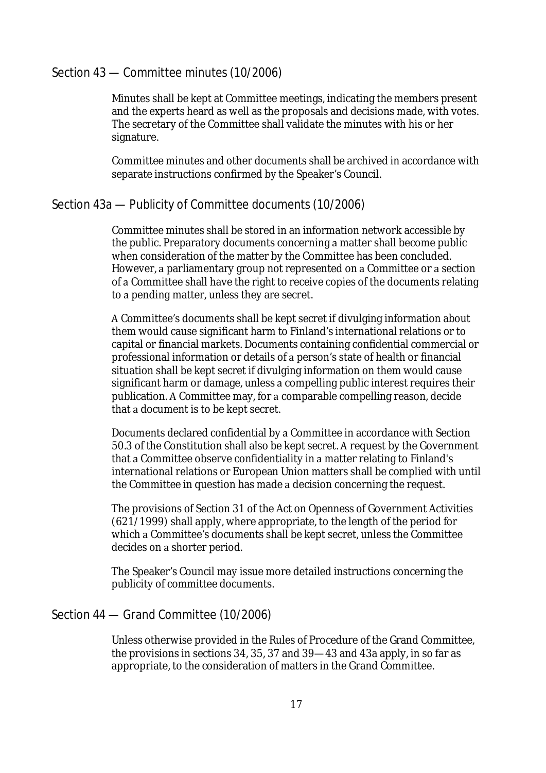# Section 43 — Committee minutes (10/2006)

Minutes shall be kept at Committee meetings, indicating the members present and the experts heard as well as the proposals and decisions made, with votes. The secretary of the Committee shall validate the minutes with his or her signature. 

Committee minutes and other documents shall be archived in accordance with separate instructions confirmed by the Speaker's Council.

# Section 43a — Publicity of Committee documents (10/2006)

Committee minutes shall be stored in an information network accessible by the public. Preparatory documents concerning a matter shall become public when consideration of the matter by the Committee has been concluded. However, a parliamentary group not represented on a Committee or a section of a Committee shall have the right to receive copies of the documents relating to a pending matter, unless they are secret.

A Committee's documents shall be kept secret if divulging information about them would cause significant harm to Finland's international relations or to capital or financial markets. Documents containing confidential commercial or professional information or details of a person's state of health or financial situation shall be kept secret if divulging information on them would cause significant harm or damage, unless a compelling public interest requires their publication. A Committee may, for a comparable compelling reason, decide that a document is to be kept secret.

Documents declared confidential by a Committee in accordance with Section 50.3 of the Constitution shall also be kept secret. A request by the Government that a Committee observe confidentiality in a matter relating to Finland's international relations or European Union matters shall be complied with until the Committee in question has made a decision concerning the request.

The provisions of Section 31 of the Act on Openness of Government Activities (621/1999) shall apply, where appropriate, to the length of the period for which a Committee's documents shall be kept secret, unless the Committee decides on a shorter period.

The Speaker's Council may issue more detailed instructions concerning the publicity of committee documents.

# Section 44 — Grand Committee (10/2006)

Unless otherwise provided in the Rules of Procedure of the Grand Committee, the provisions in sections 34, 35, 37 and 39—43 and 43a apply, in so far as appropriate, to the consideration of matters in the Grand Committee.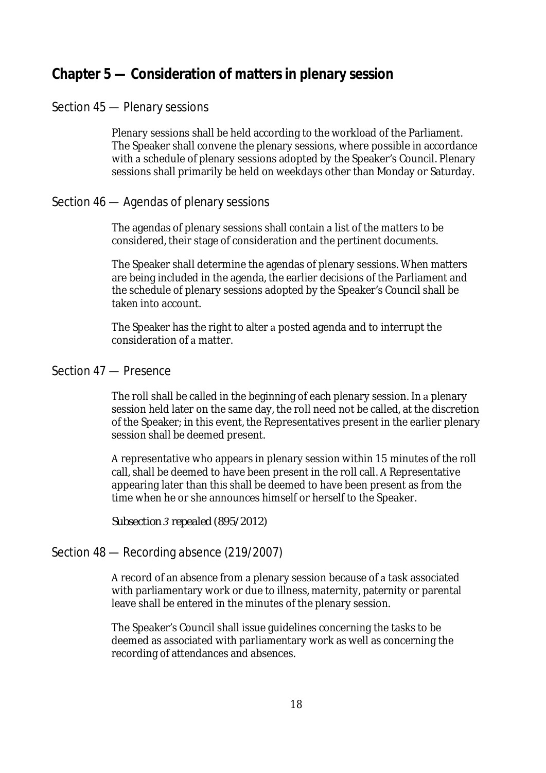# **Chapter 5 — Consideration of matters in plenary session**

# Section 45 — Plenary sessions

Plenary sessions shall be held according to the workload of the Parliament. The Speaker shall convene the plenary sessions, where possible in accordance with a schedule of plenary sessions adopted by the Speaker's Council. Plenary sessions shall primarily be held on weekdays other than Monday or Saturday.

# Section 46 — Agendas of plenary sessions

The agendas of plenary sessions shall contain a list of the matters to be considered, their stage of consideration and the pertinent documents.

The Speaker shall determine the agendas of plenary sessions. When matters are being included in the agenda, the earlier decisions of the Parliament and the schedule of plenary sessions adopted by the Speaker's Council shall be taken into account.

The Speaker has the right to alter a posted agenda and to interrupt the consideration of a matter.

#### Section 47 — Presence

The roll shall be called in the beginning of each plenary session. In a plenary session held later on the same day, the roll need not be called, at the discretion of the Speaker; in this event, the Representatives present in the earlier plenary session shall be deemed present.

A representative who appears in plenary session within 15 minutes of the roll call, shall be deemed to have been present in the roll call. A Representative appearing later than this shall be deemed to have been present as from the time when he or she announces himself or herself to the Speaker.

*Subsection 3 repealed (895/2012)*

# Section 48 — Recording absence (219/2007)

A record of an absence from a plenary session because of a task associated with parliamentary work or due to illness, maternity, paternity or parental leave shall be entered in the minutes of the plenary session. 

The Speaker's Council shall issue guidelines concerning the tasks to be deemed as associated with parliamentary work as well as concerning the recording of attendances and absences.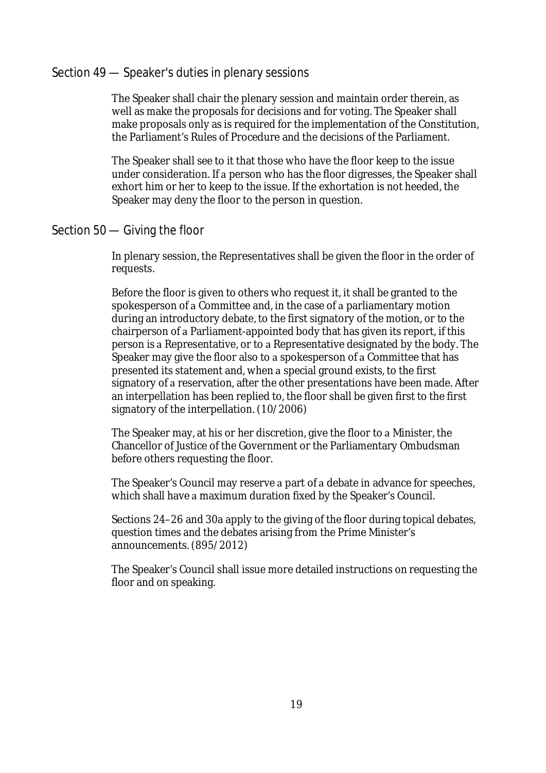#### Section 49 — Speaker's duties in plenary sessions

The Speaker shall chair the plenary session and maintain order therein, as well as make the proposals for decisions and for voting. The Speaker shall make proposals only as is required for the implementation of the Constitution, the Parliament's Rules of Procedure and the decisions of the Parliament.

The Speaker shall see to it that those who have the floor keep to the issue under consideration. If a person who has the floor digresses, the Speaker shall exhort him or her to keep to the issue. If the exhortation is not heeded, the Speaker may deny the floor to the person in question.

# Section 50 — Giving the floor

In plenary session, the Representatives shall be given the floor in the order of requests.

Before the floor is given to others who request it, it shall be granted to the spokesperson of a Committee and, in the case of a parliamentary motion during an introductory debate, to the first signatory of the motion, or to the chairperson of a Parliament-appointed body that has given its report, if this person is a Representative, or to a Representative designated by the body. The Speaker may give the floor also to a spokesperson of a Committee that has presented its statement and, when a special ground exists, to the first signatory of a reservation, after the other presentations have been made. After an interpellation has been replied to, the floor shall be given first to the first signatory of the interpellation. (10/2006)

The Speaker may, at his or her discretion, give the floor to a Minister, the Chancellor of Justice of the Government or the Parliamentary Ombudsman before others requesting the floor.

The Speaker's Council may reserve a part of a debate in advance for speeches, which shall have a maximum duration fixed by the Speaker's Council.

Sections 24–26 and 30a apply to the giving of the floor during topical debates, question times and the debates arising from the Prime Minister's announcements. (895/2012)

The Speaker's Council shall issue more detailed instructions on requesting the floor and on speaking.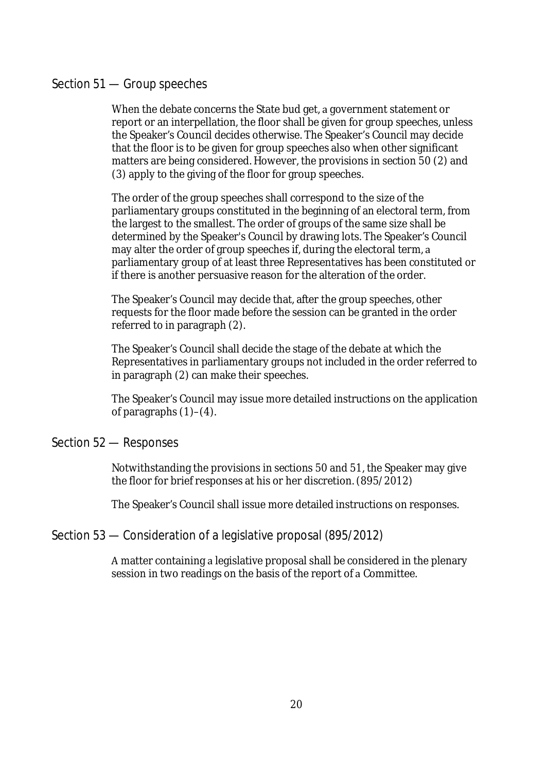# Section 51 — Group speeches

When the debate concerns the State bud get, a government statement or report or an interpellation, the floor shall be given for group speeches, unless the Speaker's Council decides otherwise. The Speaker's Council may decide that the floor is to be given for group speeches also when other significant matters are being considered. However, the provisions in section 50 (2) and (3) apply to the giving of the floor for group speeches.

The order of the group speeches shall correspond to the size of the parliamentary groups constituted in the beginning of an electoral term, from the largest to the smallest. The order of groups of the same size shall be determined by the Speaker's Council by drawing lots. The Speaker's Council may alter the order of group speeches if, during the electoral term, a parliamentary group of at least three Representatives has been constituted or if there is another persuasive reason for the alteration of the order.

The Speaker's Council may decide that, after the group speeches, other requests for the floor made before the session can be granted in the order referred to in paragraph (2).

The Speaker's Council shall decide the stage of the debate at which the Representatives in parliamentary groups not included in the order referred to in paragraph (2) can make their speeches.

The Speaker's Council may issue more detailed instructions on the application of paragraphs (1)–(4).

#### Section 52 — Responses

Notwithstanding the provisions in sections 50 and 51, the Speaker may give the floor for brief responses at his or her discretion. (895/2012)

The Speaker's Council shall issue more detailed instructions on responses.

# Section 53 — Consideration of a legislative proposal (895/2012)

A matter containing a legislative proposal shall be considered in the plenary session in two readings on the basis of the report of a Committee.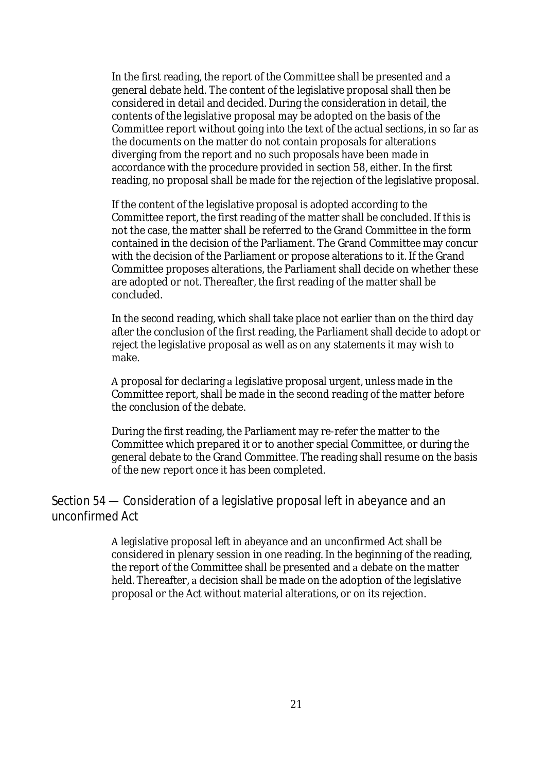In the first reading, the report of the Committee shall be presented and a general debate held. The content of the legislative proposal shall then be considered in detail and decided. During the consideration in detail, the contents of the legislative proposal may be adopted on the basis of the Committee report without going into the text of the actual sections, in so far as the documents on the matter do not contain proposals for alterations diverging from the report and no such proposals have been made in accordance with the procedure provided in section 58, either. In the first reading, no proposal shall be made for the rejection of the legislative proposal. 

If the content of the legislative proposal is adopted according to the Committee report, the first reading of the matter shall be concluded. If this is not the case, the matter shall be referred to the Grand Committee in the form contained in the decision of the Parliament. The Grand Committee may concur with the decision of the Parliament or propose alterations to it. If the Grand Committee proposes alterations, the Parliament shall decide on whether these are adopted or not. Thereafter, the first reading of the matter shall be concluded.

In the second reading, which shall take place not earlier than on the third day after the conclusion of the first reading, the Parliament shall decide to adopt or reject the legislative proposal as well as on any statements it may wish to make.

A proposal for declaring a legislative proposal urgent, unless made in the Committee report, shall be made in the second reading of the matter before the conclusion of the debate.

During the first reading, the Parliament may re-refer the matter to the Committee which prepared it or to another special Committee, or during the general debate to the Grand Committee. The reading shall resume on the basis of the new report once it has been completed.

Section 54 — Consideration of a legislative proposal left in abeyance and an unconfirmed Act

> A legislative proposal left in abeyance and an unconfirmed Act shall be considered in plenary session in one reading. In the beginning of the reading, the report of the Committee shall be presented and a debate on the matter held. Thereafter, a decision shall be made on the adoption of the legislative proposal or the Act without material alterations, or on its rejection.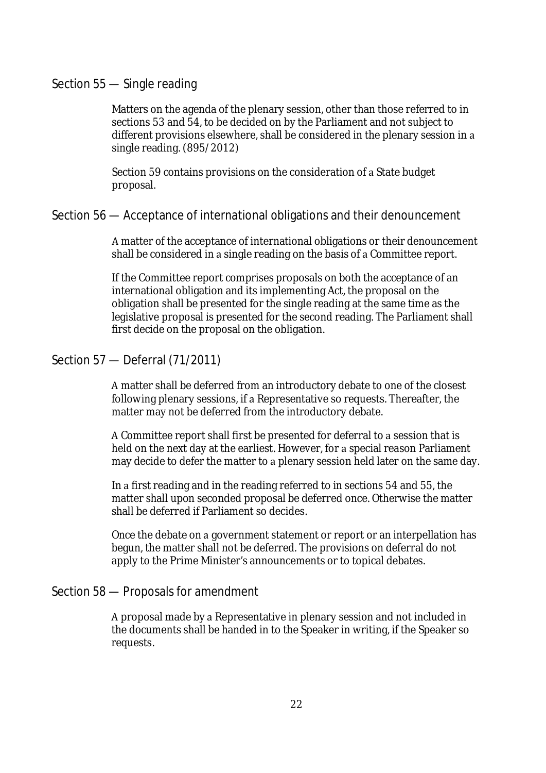#### Section 55 — Single reading

Matters on the agenda of the plenary session, other than those referred to in sections 53 and 54, to be decided on by the Parliament and not subject to different provisions elsewhere, shall be considered in the plenary session in a single reading. (895/2012)

Section 59 contains provisions on the consideration of a State budget proposal.

#### Section 56 — Acceptance of international obligations and their denouncement

A matter of the acceptance of international obligations or their denouncement shall be considered in a single reading on the basis of a Committee report.

If the Committee report comprises proposals on both the acceptance of an international obligation and its implementing Act, the proposal on the obligation shall be presented for the single reading at the same time as the legislative proposal is presented for the second reading. The Parliament shall first decide on the proposal on the obligation.

# Section 57 — Deferral (71/2011)

A matter shall be deferred from an introductory debate to one of the closest following plenary sessions, if a Representative so requests. Thereafter, the matter may not be deferred from the introductory debate.

A Committee report shall first be presented for deferral to a session that is held on the next day at the earliest. However, for a special reason Parliament may decide to defer the matter to a plenary session held later on the same day.

In a first reading and in the reading referred to in sections 54 and 55, the matter shall upon seconded proposal be deferred once. Otherwise the matter shall be deferred if Parliament so decides. 

Once the debate on a government statement or report or an interpellation has begun, the matter shall not be deferred. The provisions on deferral do not apply to the Prime Minister's announcements or to topical debates.

# Section 58 — Proposals for amendment

A proposal made by a Representative in plenary session and not included in the documents shall be handed in to the Speaker in writing, if the Speaker so requests.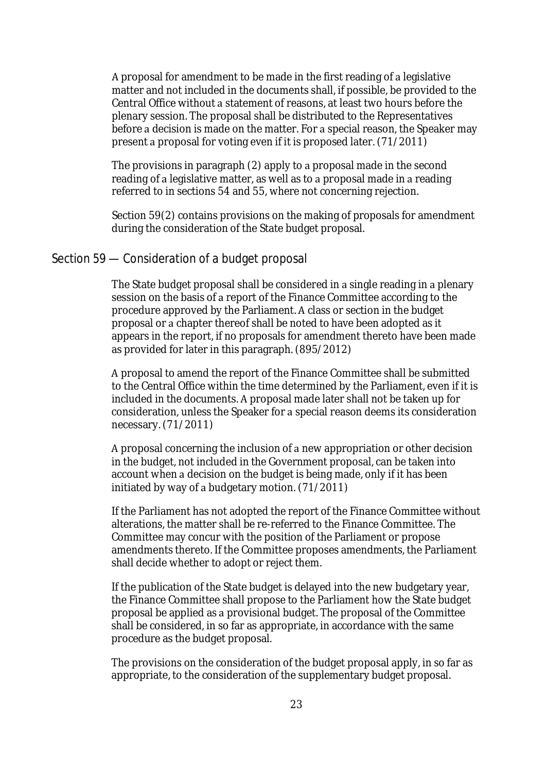A proposal for amendment to be made in the first reading of a legislative matter and not included in the documents shall, if possible, be provided to the Central Office without a statement of reasons, at least two hours before the plenary session. The proposal shall be distributed to the Representatives before a decision is made on the matter. For a special reason, the Speaker may present a proposal for voting even if it is proposed later. (71/2011)

The provisions in paragraph (2) apply to a proposal made in the second reading of a legislative matter, as well as to a proposal made in a reading referred to in sections 54 and 55, where not concerning rejection.

Section 59(2) contains provisions on the making of proposals for amendment during the consideration of the State budget proposal.

#### Section 59 — Consideration of a budget proposal

The State budget proposal shall be considered in a single reading in a plenary session on the basis of a report of the Finance Committee according to the procedure approved by the Parliament. A class or section in the budget proposal or a chapter thereof shall be noted to have been adopted as it appears in the report, if no proposals for amendment thereto have been made as provided for later in this paragraph. (895/2012)

A proposal to amend the report of the Finance Committee shall be submitted to the Central Office within the time determined by the Parliament, even if it is included in the documents. A proposal made later shall not be taken up for consideration, unless the Speaker for a special reason deems its consideration necessary. (71/2011)

A proposal concerning the inclusion of a new appropriation or other decision in the budget, not included in the Government proposal, can be taken into account when a decision on the budget is being made, only if it has been initiated by way of a budgetary motion.  $(71/2011)$ 

If the Parliament has not adopted the report of the Finance Committee without alterations, the matter shall be re-referred to the Finance Committee. The Committee may concur with the position of the Parliament or propose amendments thereto. If the Committee proposes amendments, the Parliament shall decide whether to adopt or reject them.

If the publication of the State budget is delayed into the new budgetary year, the Finance Committee shall propose to the Parliament how the State budget proposal be applied as a provisional budget. The proposal of the Committee shall be considered, in so far as appropriate, in accordance with the same procedure as the budget proposal.

The provisions on the consideration of the budget proposal apply, in so far as appropriate, to the consideration of the supplementary budget proposal.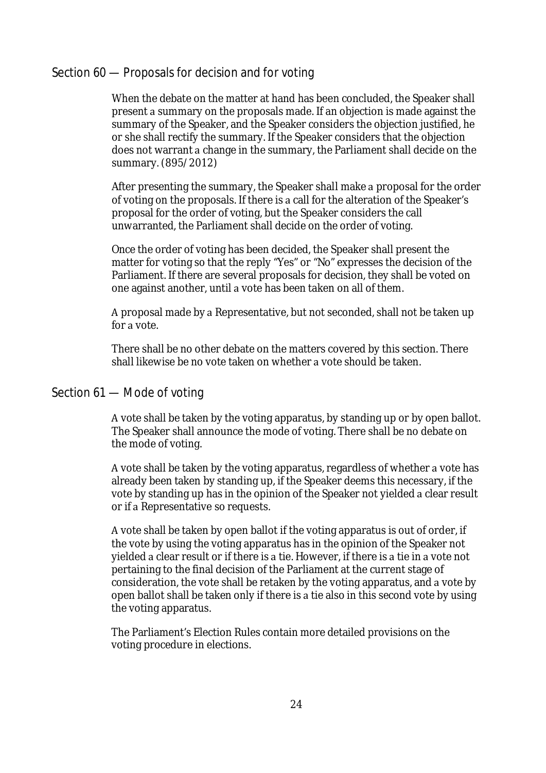# Section 60 — Proposals for decision and for voting

When the debate on the matter at hand has been concluded, the Speaker shall present a summary on the proposals made. If an objection is made against the summary of the Speaker, and the Speaker considers the objection justified, he or she shall rectify the summary. If the Speaker considers that the objection does not warrant a change in the summary, the Parliament shall decide on the summary. (895/2012)

After presenting the summary, the Speaker shall make a proposal for the order of voting on the proposals. If there is a call for the alteration of the Speaker's proposal for the order of voting, but the Speaker considers the call unwarranted, the Parliament shall decide on the order of voting.

Once the order of voting has been decided, the Speaker shall present the matter for voting so that the reply "Yes" or "No" expresses the decision of the Parliament. If there are several proposals for decision, they shall be voted on one against another, until a vote has been taken on all of them.

A proposal made by a Representative, but not seconded, shall not be taken up for a vote.

There shall be no other debate on the matters covered by this section. There shall likewise be no vote taken on whether a vote should be taken.

#### Section 61 — Mode of voting

A vote shall be taken by the voting apparatus, by standing up or by open ballot. The Speaker shall announce the mode of voting. There shall be no debate on the mode of voting.

A vote shall be taken by the voting apparatus, regardless of whether a vote has already been taken by standing up, if the Speaker deems this necessary, if the vote by standing up has in the opinion of the Speaker not yielded a clear result or if a Representative so requests.

A vote shall be taken by open ballot if the voting apparatus is out of order, if the vote by using the voting apparatus has in the opinion of the Speaker not yielded a clear result or if there is a tie. However, if there is a tie in a vote not pertaining to the final decision of the Parliament at the current stage of consideration, the vote shall be retaken by the voting apparatus, and a vote by open ballot shall be taken only if there is a tie also in this second vote by using the voting apparatus.

The Parliament's Election Rules contain more detailed provisions on the voting procedure in elections.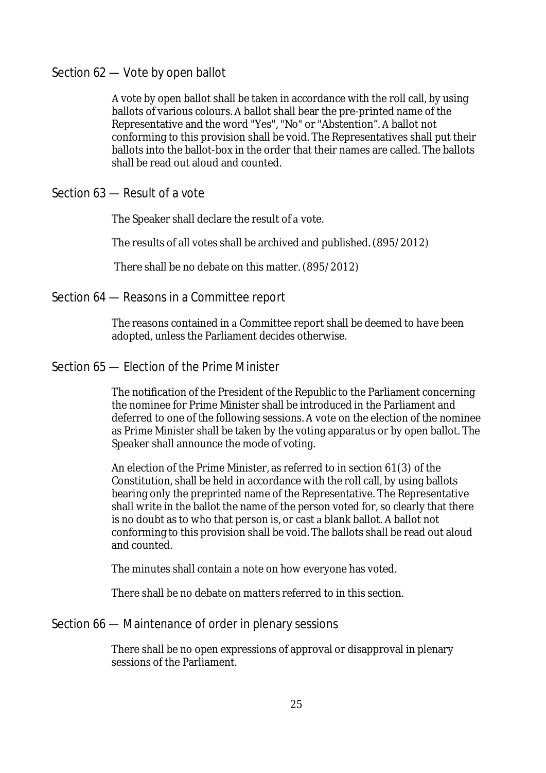# Section 62 — Vote by open ballot

A vote by open ballot shall be taken in accordance with the roll call, by using ballots of various colours. A ballot shall bear the pre-printed name of the Representative and the word "Yes", "No" or "Abstention". A ballot not conforming to this provision shall be void. The Representatives shall put their ballots into the ballot-box in the order that their names are called. The ballots shall be read out aloud and counted.

# Section 63 — Result of a vote

The Speaker shall declare the result of a vote.

The results of all votes shall be archived and published. (895/2012) 

There shall be no debate on this matter. (895/2012)

#### Section 64 — Reasons in a Committee report

The reasons contained in a Committee report shall be deemed to have been adopted, unless the Parliament decides otherwise.

#### Section 65 — Election of the Prime Minister

The notification of the President of the Republic to the Parliament concerning the nominee for Prime Minister shall be introduced in the Parliament and deferred to one of the following sessions. A vote on the election of the nominee as Prime Minister shall be taken by the voting apparatus or by open ballot. The Speaker shall announce the mode of voting.

An election of the Prime Minister, as referred to in section 61(3) of the Constitution, shall be held in accordance with the roll call, by using ballots bearing only the preprinted name of the Representative. The Representative shall write in the ballot the name of the person voted for, so clearly that there is no doubt as to who that person is, or cast a blank ballot. A ballot not conforming to this provision shall be void. The ballots shall be read out aloud and counted.

The minutes shall contain a note on how everyone has voted.

There shall be no debate on matters referred to in this section.

#### Section 66 — Maintenance of order in plenary sessions

There shall be no open expressions of approval or disapproval in plenary sessions of the Parliament.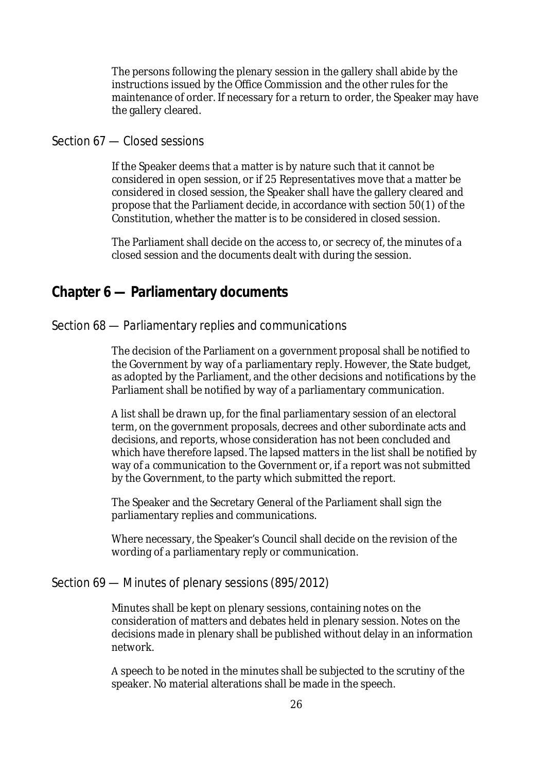The persons following the plenary session in the gallery shall abide by the instructions issued by the Office Commission and the other rules for the maintenance of order. If necessary for a return to order, the Speaker may have the gallery cleared.

# Section 67 — Closed sessions

If the Speaker deems that a matter is by nature such that it cannot be considered in open session, or if 25 Representatives move that a matter be considered in closed session, the Speaker shall have the gallery cleared and propose that the Parliament decide, in accordance with section 50(1) of the Constitution, whether the matter is to be considered in closed session.

The Parliament shall decide on the access to, or secrecy of, the minutes of a closed session and the documents dealt with during the session.

# **Chapter 6 — Parliamentary documents**

#### Section 68 — Parliamentary replies and communications

The decision of the Parliament on a government proposal shall be notified to the Government by way of a parliamentary reply. However, the State budget, as adopted by the Parliament, and the other decisions and notifications by the Parliament shall be notified by way of a parliamentary communication.

A list shall be drawn up, for the final parliamentary session of an electoral term, on the government proposals, decrees and other subordinate acts and decisions, and reports, whose consideration has not been concluded and which have therefore lapsed. The lapsed matters in the list shall be notified by way of a communication to the Government or, if a report was not submitted by the Government, to the party which submitted the report.

The Speaker and the Secretary General of the Parliament shall sign the parliamentary replies and communications.

Where necessary, the Speaker's Council shall decide on the revision of the wording of a parliamentary reply or communication.

#### Section 69 — Minutes of plenary sessions (895/2012)

Minutes shall be kept on plenary sessions, containing notes on the consideration of matters and debates held in plenary session. Notes on the decisions made in plenary shall be published without delay in an information network.

A speech to be noted in the minutes shall be subjected to the scrutiny of the speaker. No material alterations shall be made in the speech.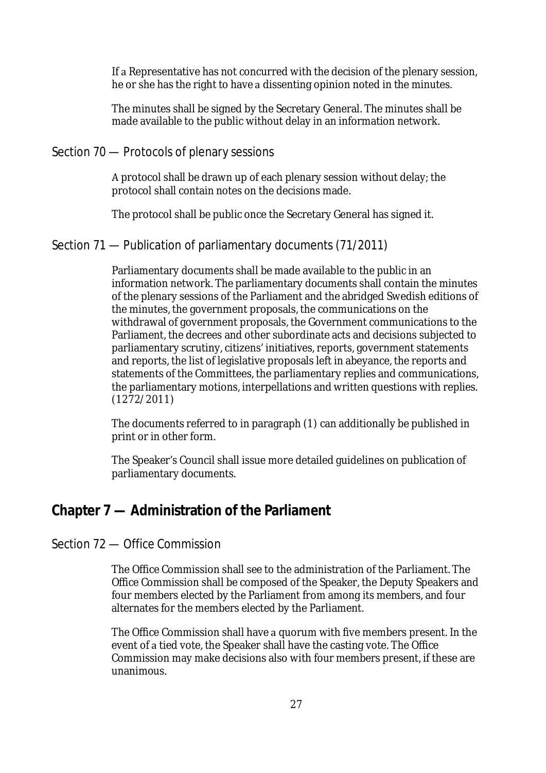If a Representative has not concurred with the decision of the plenary session, he or she has the right to have a dissenting opinion noted in the minutes.

The minutes shall be signed by the Secretary General. The minutes shall be made available to the public without delay in an information network.

# Section 70 — Protocols of plenary sessions

A protocol shall be drawn up of each plenary session without delay; the protocol shall contain notes on the decisions made.

The protocol shall be public once the Secretary General has signed it.

# Section 71 — Publication of parliamentary documents (71/2011)

Parliamentary documents shall be made available to the public in an information network. The parliamentary documents shall contain the minutes of the plenary sessions of the Parliament and the abridged Swedish editions of the minutes, the government proposals, the communications on the withdrawal of government proposals, the Government communications to the Parliament, the decrees and other subordinate acts and decisions subjected to parliamentary scrutiny, citizens' initiatives, reports, government statements and reports, the list of legislative proposals left in abeyance, the reports and statements of the Committees, the parliamentary replies and communications, the parliamentary motions, interpellations and written questions with replies. (1272/2011)

The documents referred to in paragraph (1) can additionally be published in print or in other form.

The Speaker's Council shall issue more detailed guidelines on publication of parliamentary documents.

# **Chapter 7 — Administration of the Parliament**

# Section 72 — Office Commission

The Office Commission shall see to the administration of the Parliament. The Office Commission shall be composed of the Speaker, the Deputy Speakers and four members elected by the Parliament from among its members, and four alternates for the members elected by the Parliament.

The Office Commission shall have a quorum with five members present. In the event of a tied vote, the Speaker shall have the casting vote. The Office Commission may make decisions also with four members present, if these are unanimous.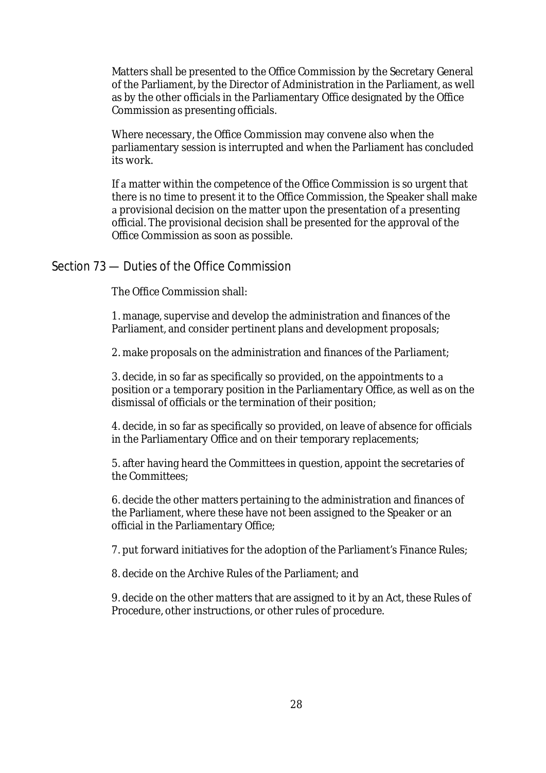Matters shall be presented to the Office Commission by the Secretary General of the Parliament, by the Director of Administration in the Parliament, as well as by the other officials in the Parliamentary Office designated by the Office Commission as presenting officials.

Where necessary, the Office Commission may convene also when the parliamentary session is interrupted and when the Parliament has concluded its work. 

If a matter within the competence of the Office Commission is so urgent that there is no time to present it to the Office Commission, the Speaker shall make a provisional decision on the matter upon the presentation of a presenting official. The provisional decision shall be presented for the approval of the Office Commission as soon as possible.

#### Section 73 — Duties of the Office Commission

The Office Commission shall:

1. manage, supervise and develop the administration and finances of the Parliament, and consider pertinent plans and development proposals;

2. make proposals on the administration and finances of the Parliament;

3. decide, in so far as specifically so provided, on the appointments to a position or a temporary position in the Parliamentary Office, as well as on the dismissal of officials or the termination of their position;

4. decide, in so far as specifically so provided, on leave of absence for officials in the Parliamentary Office and on their temporary replacements;

5. after having heard the Committees in question, appoint the secretaries of the Committees;

6. decide the other matters pertaining to the administration and finances of the Parliament, where these have not been assigned to the Speaker or an official in the Parliamentary Office;

7. put forward initiatives for the adoption of the Parliament's Finance Rules;

8. decide on the Archive Rules of the Parliament; and

9. decide on the other matters that are assigned to it by an Act, these Rules of Procedure, other instructions, or other rules of procedure.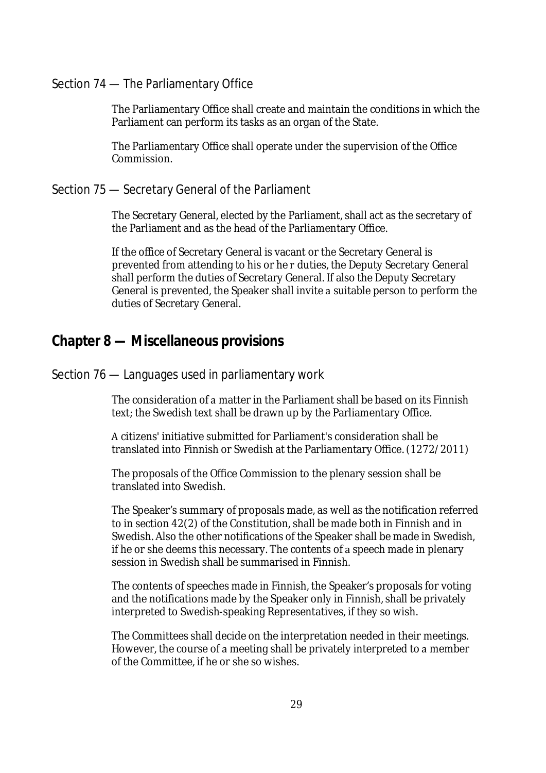# Section 74 — The Parliamentary Office

The Parliamentary Office shall create and maintain the conditions in which the Parliament can perform its tasks as an organ of the State. 

The Parliamentary Office shall operate under the supervision of the Office Commission.

#### Section 75 — Secretary General of the Parliament

The Secretary General, elected by the Parliament, shall act as the secretary of the Parliament and as the head of the Parliamentary Office.

If the office of Secretary General is vacant or the Secretary General is prevented from attending to his or he r duties, the Deputy Secretary General shall perform the duties of Secretary General. If also the Deputy Secretary General is prevented, the Speaker shall invite a suitable person to perform the duties of Secretary General.

# **Chapter 8 — Miscellaneous provisions**

#### Section 76 — Languages used in parliamentary work

The consideration of a matter in the Parliament shall be based on its Finnish text; the Swedish text shall be drawn up by the Parliamentary Office.

A citizens' initiative submitted for Parliament's consideration shall be translated into Finnish or Swedish at the Parliamentary Office. (1272/2011)

The proposals of the Office Commission to the plenary session shall be translated into Swedish.

The Speaker's summary of proposals made, as well as the notification referred to in section 42(2) of the Constitution, shall be made both in Finnish and in Swedish. Also the other notifications of the Speaker shall be made in Swedish, if he or she deems this necessary. The contents of a speech made in plenary session in Swedish shall be summarised in Finnish.

The contents of speeches made in Finnish, the Speaker's proposals for voting and the notifications made by the Speaker only in Finnish, shall be privately interpreted to Swedish-speaking Representatives, if they so wish.

The Committees shall decide on the interpretation needed in their meetings. However, the course of a meeting shall be privately interpreted to a member of the Committee, if he or she so wishes.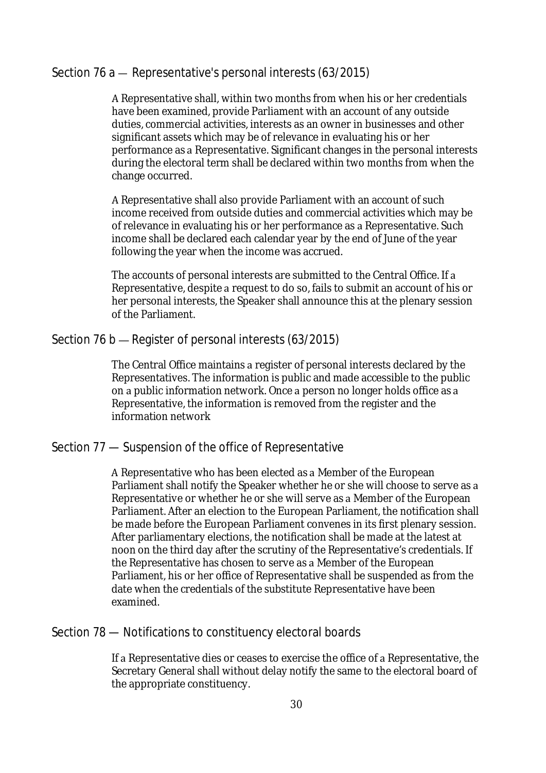# Section 76 a — Representative's personal interests (63/2015)

A Representative shall, within two months from when his or her credentials have been examined, provide Parliament with an account of any outside duties, commercial activities, interests as an owner in businesses and other significant assets which may be of relevance in evaluating his or her performance as a Representative. Significant changes in the personal interests during the electoral term shall be declared within two months from when the change occurred.

A Representative shall also provide Parliament with an account of such income received from outside duties and commercial activities which may be of relevance in evaluating his or her performance as a Representative. Such income shall be declared each calendar year by the end of June of the year following the year when the income was accrued. 

The accounts of personal interests are submitted to the Central Office. If a Representative, despite a request to do so, fails to submit an account of his or her personal interests, the Speaker shall announce this at the plenary session of the Parliament. 

# Section 76 b – Register of personal interests (63/2015)

The Central Office maintains a register of personal interests declared by the Representatives. The information is public and made accessible to the public on a public information network. Once a person no longer holds office as a Representative, the information is removed from the register and the information network

# Section 77 — Suspension of the office of Representative

A Representative who has been elected as a Member of the European Parliament shall notify the Speaker whether he or she will choose to serve as a Representative or whether he or she will serve as a Member of the European Parliament. After an election to the European Parliament, the notification shall be made before the European Parliament convenes in its first plenary session. After parliamentary elections, the notification shall be made at the latest at noon on the third day after the scrutiny of the Representative's credentials. If the Representative has chosen to serve as a Member of the European Parliament, his or her office of Representative shall be suspended as from the date when the credentials of the substitute Representative have been examined.

# Section 78 — Notifications to constituency electoral boards

If a Representative dies or ceases to exercise the office of a Representative, the Secretary General shall without delay notify the same to the electoral board of the appropriate constituency.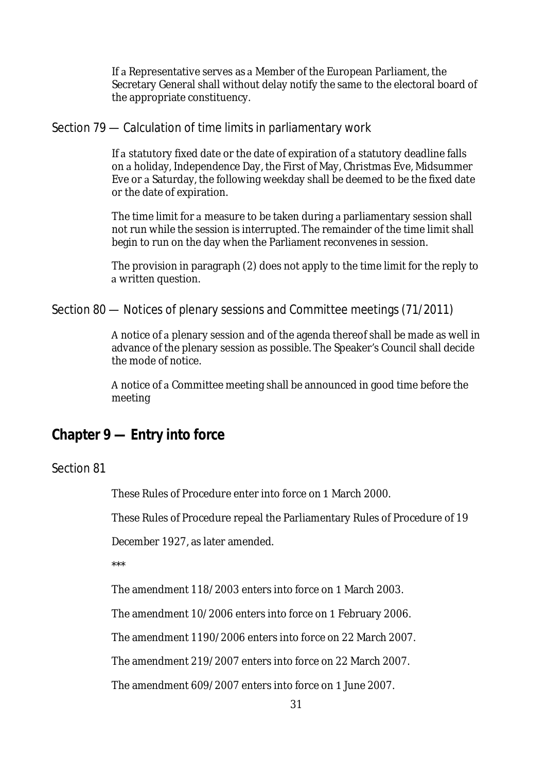If a Representative serves as a Member of the European Parliament, the Secretary General shall without delay notify the same to the electoral board of the appropriate constituency.

#### Section 79 — Calculation of time limits in parliamentary work

If a statutory fixed date or the date of expiration of a statutory deadline falls on a holiday, Independence Day, the First of May, Christmas Eve, Midsummer Eve or a Saturday, the following weekday shall be deemed to be the fixed date or the date of expiration.

The time limit for a measure to be taken during a parliamentary session shall not run while the session is interrupted. The remainder of the time limit shall begin to run on the day when the Parliament reconvenes in session. 

The provision in paragraph (2) does not apply to the time limit for the reply to a written question.

Section 80 — Notices of plenary sessions and Committee meetings (71/2011)

A notice of a plenary session and of the agenda thereof shall be made as well in advance of the plenary session as possible. The Speaker's Council shall decide the mode of notice.

A notice of a Committee meeting shall be announced in good time before the meeting

# **Chapter 9 — Entry into force**

# Section 81

These Rules of Procedure enter into force on 1 March 2000.

These Rules of Procedure repeal the Parliamentary Rules of Procedure of 19

December 1927, as later amended.

\*\*\*

The amendment 118/2003 enters into force on 1 March 2003.

The amendment 10/2006 enters into force on 1 February 2006.

The amendment 1190/2006 enters into force on 22 March 2007.

The amendment 219/2007 enters into force on 22 March 2007.

The amendment 609/2007 enters into force on 1 June 2007.